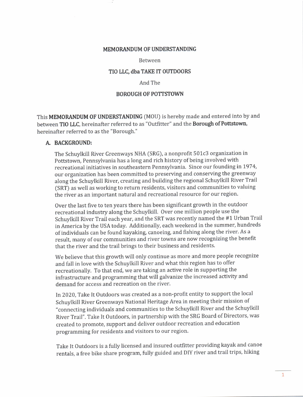### MEMORANDUM OF UNDERSTANDING

Between

#### TIO LLC, dba TAKE IT OUTDOORS

### And The

### BOROUGH OF POTTSTOWN

This MEMORANDUM OF UNDERSTANDING (MOU) is hereby made and entered into by and between TIO LLC, hereinafter referred to as "Outfitter" and the Borough of Pottstown, hereinafter referred to as the "Borough."

#### A. BACKGROUND:

The Schuylkill River Greenways NHA (SRG), a nonprofit 501c3 organization in Pottstown, Pennsylvania has a long and rich history of being involved with recreational initiatives in southeastern Pennsylvania. Since our founding in 1974, our organization has been committed to preserving and conserving the greenway along the Schuylkill River, creating and building the regional Schuylkill River Trail (SRT) as well as working to return residents, visitors and communities to valuing the river as an important natural and recreational resource for our region.

Over the last five to ten years there has been significant growth in the outdoor recreational industry along the Schuylkill. Over one million people use the Schuylkill River Trail each year, and the SRT was recently named the #1 Urban Trail in America by the USA today. Additionally, each weekend in the summer, hundreds of individuals can be found kayaking, canoeing, and fishing along the river. As <sup>a</sup> result, many of our communities and river towns are now recognizing the benefit that the river and the trail brings to their business and residents.

We believe that this growth will only continue as more and more people recognize and falt in love with the Schuylkill River and what this region has to offer recreationally. To that end, we are taking an active role in supporting the infrastructure and programming that will galvanize the increased activity and demand for access and recreation on the river.

lrn2020, Take It Outdoors was created as a non-profit entity to support the local Schuylkill River Greenways National Heritage Area in meeting their mission of "connecting individuals and communities to the Schuylkill River and the Schuylkill River Trail". Take It Outdoors, in partnership with the SRG Board of Directors, was created to promote, support and deliver outdoor recreation and education programming for residents and visitors to our region.

Take It Outdoors is a fully licensed and insured outfitter providing kayak and canoe rentals, a free bike share program, fully guided and DIY river and trail trips, hiking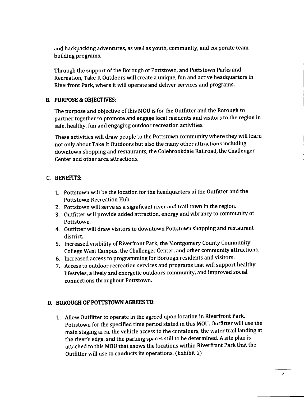and backpacking adventures, as well as youth, community, and corporate team building programs.

Through the support of the Borough of Pottstown, and Pottstown Parks and Recreation, Take It Outdoors will create a unique, fun and active headquarters in Riverfront Park, where it will operate and deliver services and programs.

## B. PURPOSE&OBIECTIVES:

The purpose and objective of this MOU is for the Outfitter and the Borough to partner together to promote and engage local residents and visitors to the region in safe, healthy, fun and engaging outdoor recreation activities.

These activities will draw people to the Pottstown community where they will learn not only about Take It Outdoors but also the many other attractions including downtown shopping and restaurants, the Colebrookdale Railroad, the Challenger Center and other area attractions.

## C, BENEFITS:

- 1. Pottstown will be the location for the headquarters ofthe Outfitter and the Pottstown Recreation Hub.
- Pottstown will serve as a significant river and trail town in the region. 2.
- 3. Outfitter will provide added attraction, energy and vibrancy to community of Pottstown.
- 4. Outfitter will draw visitors to downtown Pottstown shopping and restaurant district.
- 5. Increased visibility of Riverfront Park, the Montgomery County Community College West Campus, the Challenger Center, and other community attractions'
- 6. Increased access to programming for Borough residents and visitors.
- Access to outdoor recreation services and programs that will support healthy lifestyles, a lively and energetic outdoors community, and improved social connections throughout Pottstown.

## D. BOROUGH OF POTTSTOWN AGREES TO:

1. Allow Outfitter to operate in the agreed upon location in Riverfront Park Pottstown for the specified time period stated in this MoU. outfitter will use the main staging area, the vehicle access to the containers, the water trail landing at the river's edge, and the parking spaces still to be determined. A site plan is attached to this MOU that shows the locations within Riverfront Park that the Outfitter will use to conducts its operations. (Exhibit 1)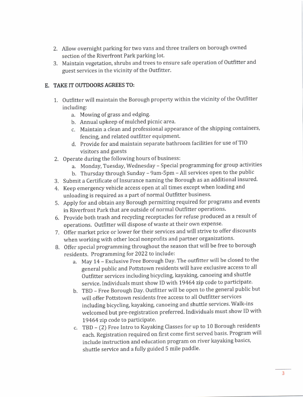- 2. Allow overnight parking for two vans and three trailers on borough owned section of the Riverfront Park parking Iot.
- 3. Maintain vegetation, shrubs and trees to ensure safe operation of Outfitter and guest services in the vicinity of the Outfitter.

# E. TAKE IT OUTDOORS AGREES TO:

- 1. Outfitter will maintain the Borough property within the vicinity of the outfitter including:
	- a. Mowing of grass and edging.
	- b. Annual upkeep of mulched picnic area.
	- c. Maintain a clean and professional appearance of the shipping containers, fencing, and related outfitter equipment.
	- d. Provide for and maintain separate bathroom facilities for use of TIO visitors and guests
- 2. Operate during the following hours of business:
	- a. Monday, Tuesday, Wednesday Special programming for group activities
	- b. Thursday through Sunday 9am-5pm All services open to the public
- 3. Submit a certificate of Insurance naming the Borough as an additional insured.
- 4. Keep emergency vehicle access open at all times except when loading and unloading is required as a part of normal Outfitter business.
- 5. Apply for and obtain any Borough permitting required for programs and events in Riverfront Park that are outside of normal Outfitter operations.
- 6. provide both trash and recycling receptacles for refuse produced as a result of operations. Outfitter will dispose of waste at their own expense.
- 7. Offer market price or lower for their services and will strive to offer discounts when working with other local nonprofits and partner organizations.
- 8. Offer special programming throughout the season that will be free to borough residents. Programming for 2022 to include:
	- a. May 14 Exclusive Free Borough Day. The outfitter will be closed to the general public and Pottstown residents will have exclusive access to all Outfitter services including bicycling, kayaking, canoeing and shuttle service. Individuals must show ID with 19464 zip code to participate.
	- b. TBD Free Borough Day. Outfitter will be open to the general public but will offer Pottstown residents free access to all Outfitter services including bicycling, kayaking, canoeing and shuttle services. Walk-ins welcomed but pre-registration preferred. Individuals must show ID with 19464 zip code to participate.
	- c. TBD (2) Free lntro to Kayaking Classes for up to 10 Borough residents each. Registration required on first come first served basis. Program will include instruction and education program on river kayaking basics, shuttle service and a fully guided 5 mile paddle.